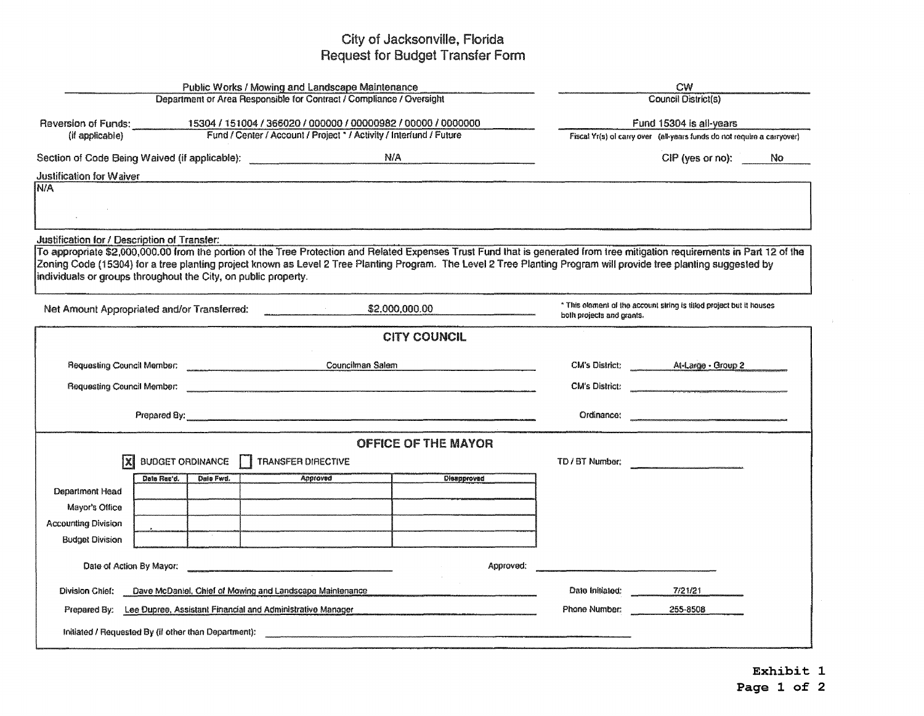## City of Jacksonville, Florida Request for Budget Transfer Form

| Department or Area Responsible for Contract / Compliance / Oversight<br>Reversion of Funds: 15304 / 151004 / 366020 / 000000 / 00000982 / 00000 / 0000000<br>Fund 15304 is all-years<br>Fund / Center / Account / Project * / Activity / Interfund / Future<br>(if applicable)<br>Fiscal Yr(s) of carry over (all-years funds do not require a carryover)<br>Section of Code Being Waived (if applicable): __________________________________ N/A<br>CIP (yes or no): No<br>Justification for Waiver<br>Justification for / Description of Transfer:<br>To appropriate \$2,000,000.00 from the portion of the Tree Protection and Related Expenses Trust Fund that is generated from tree mitigation requirements in Part 12 of the<br>Zoning Code (15304) for a tree planting project known as Level 2 Tree Planting Program. The Level 2 Tree Planting Program will provide tree planting suggested by<br>* This element of the account string is titled project but it houses<br>\$2,000,000.00<br>$\label{eq:2.1} \frac{1}{\sqrt{2\pi}}\sum_{i=1}^n\frac{1}{\sqrt{2\pi}}\left(\frac{1}{\sqrt{2\pi}}\sum_{i=1}^n\frac{1}{\sqrt{2\pi}}\sum_{i=1}^n\frac{1}{\sqrt{2\pi}}\sum_{i=1}^n\frac{1}{\sqrt{2\pi}}\sum_{i=1}^n\frac{1}{\sqrt{2\pi}}\sum_{i=1}^n\frac{1}{\sqrt{2\pi}}\sum_{i=1}^n\frac{1}{\sqrt{2\pi}}\sum_{i=1}^n\frac{1}{\sqrt{2\pi}}\sum_{i=1}^n\frac{1}{\sqrt{$<br>both projects and grants.<br><b>CITY COUNCIL</b><br>CM's District: At-Large - Group 2<br>Requesting Council Member: The Council Member<br>Councilman Salem<br>CM's District:<br>Requesting Council Member: <u>contract and contract and contract and contract and contract and contract and contract and contract and contract and contract and contract and contract and contract and contract and contract and</u><br>Prepared By: <u>Example 2008</u> Contract Contract Contract Contract Contract Contract Contract Contract Contract Contract Contract Contract Contract Contract Contract Contract Contract Contract Contract Contract Contract Contr<br><b>OFFICE OF THE MAYOR</b><br>IX<br>BUDGET ORDINANCE   TRANSFER DIRECTIVE<br>TD / BT Number;<br>Dale Fwd.<br>Approved<br>Disapprovad<br>Data Rec'd.<br>Department Head<br>Mayor's Office<br><b>Accounting Division</b><br><b>Budget Division</b><br>Approved:<br>Date Initiated:<br>7/21/21<br>Division Chief:<br>Dave McDaniel, Chief of Mowing and Landscape Maintenance<br>Phone Number:<br>Prepared By: Lee Dupree, Assistant Financial and Administrative Manager<br>255-8508<br>Initiated / Requested By (if other than Department): |                                                                                                               | Public Works / Mowing and Landscape Maintenance | CW<br>Council District(s) |  |  |  |  |  |  |  |
|-----------------------------------------------------------------------------------------------------------------------------------------------------------------------------------------------------------------------------------------------------------------------------------------------------------------------------------------------------------------------------------------------------------------------------------------------------------------------------------------------------------------------------------------------------------------------------------------------------------------------------------------------------------------------------------------------------------------------------------------------------------------------------------------------------------------------------------------------------------------------------------------------------------------------------------------------------------------------------------------------------------------------------------------------------------------------------------------------------------------------------------------------------------------------------------------------------------------------------------------------------------------------------------------------------------------------------------------------------------------------------------------------------------------------------------------------------------------------------------------------------------------------------------------------------------------------------------------------------------------------------------------------------------------------------------------------------------------------------------------------------------------------------------------------------------------------------------------------------------------------------------------------------------------------------------------------------------------------------------------------------------------------------------------------------------------------------------------------------------------------------------------------------------------------------------------------------------------------------------------------------------------------------------------------------------------------------------------------------------------------------------------------------------------------------------------------------------------------------------------------------------------------------------------------------------------------------------------|---------------------------------------------------------------------------------------------------------------|-------------------------------------------------|---------------------------|--|--|--|--|--|--|--|
|                                                                                                                                                                                                                                                                                                                                                                                                                                                                                                                                                                                                                                                                                                                                                                                                                                                                                                                                                                                                                                                                                                                                                                                                                                                                                                                                                                                                                                                                                                                                                                                                                                                                                                                                                                                                                                                                                                                                                                                                                                                                                                                                                                                                                                                                                                                                                                                                                                                                                                                                                                                         |                                                                                                               |                                                 |                           |  |  |  |  |  |  |  |
|                                                                                                                                                                                                                                                                                                                                                                                                                                                                                                                                                                                                                                                                                                                                                                                                                                                                                                                                                                                                                                                                                                                                                                                                                                                                                                                                                                                                                                                                                                                                                                                                                                                                                                                                                                                                                                                                                                                                                                                                                                                                                                                                                                                                                                                                                                                                                                                                                                                                                                                                                                                         |                                                                                                               |                                                 |                           |  |  |  |  |  |  |  |
|                                                                                                                                                                                                                                                                                                                                                                                                                                                                                                                                                                                                                                                                                                                                                                                                                                                                                                                                                                                                                                                                                                                                                                                                                                                                                                                                                                                                                                                                                                                                                                                                                                                                                                                                                                                                                                                                                                                                                                                                                                                                                                                                                                                                                                                                                                                                                                                                                                                                                                                                                                                         |                                                                                                               |                                                 |                           |  |  |  |  |  |  |  |
|                                                                                                                                                                                                                                                                                                                                                                                                                                                                                                                                                                                                                                                                                                                                                                                                                                                                                                                                                                                                                                                                                                                                                                                                                                                                                                                                                                                                                                                                                                                                                                                                                                                                                                                                                                                                                                                                                                                                                                                                                                                                                                                                                                                                                                                                                                                                                                                                                                                                                                                                                                                         |                                                                                                               |                                                 |                           |  |  |  |  |  |  |  |
|                                                                                                                                                                                                                                                                                                                                                                                                                                                                                                                                                                                                                                                                                                                                                                                                                                                                                                                                                                                                                                                                                                                                                                                                                                                                                                                                                                                                                                                                                                                                                                                                                                                                                                                                                                                                                                                                                                                                                                                                                                                                                                                                                                                                                                                                                                                                                                                                                                                                                                                                                                                         |                                                                                                               |                                                 |                           |  |  |  |  |  |  |  |
|                                                                                                                                                                                                                                                                                                                                                                                                                                                                                                                                                                                                                                                                                                                                                                                                                                                                                                                                                                                                                                                                                                                                                                                                                                                                                                                                                                                                                                                                                                                                                                                                                                                                                                                                                                                                                                                                                                                                                                                                                                                                                                                                                                                                                                                                                                                                                                                                                                                                                                                                                                                         | N/A                                                                                                           |                                                 |                           |  |  |  |  |  |  |  |
|                                                                                                                                                                                                                                                                                                                                                                                                                                                                                                                                                                                                                                                                                                                                                                                                                                                                                                                                                                                                                                                                                                                                                                                                                                                                                                                                                                                                                                                                                                                                                                                                                                                                                                                                                                                                                                                                                                                                                                                                                                                                                                                                                                                                                                                                                                                                                                                                                                                                                                                                                                                         |                                                                                                               |                                                 |                           |  |  |  |  |  |  |  |
|                                                                                                                                                                                                                                                                                                                                                                                                                                                                                                                                                                                                                                                                                                                                                                                                                                                                                                                                                                                                                                                                                                                                                                                                                                                                                                                                                                                                                                                                                                                                                                                                                                                                                                                                                                                                                                                                                                                                                                                                                                                                                                                                                                                                                                                                                                                                                                                                                                                                                                                                                                                         |                                                                                                               |                                                 |                           |  |  |  |  |  |  |  |
|                                                                                                                                                                                                                                                                                                                                                                                                                                                                                                                                                                                                                                                                                                                                                                                                                                                                                                                                                                                                                                                                                                                                                                                                                                                                                                                                                                                                                                                                                                                                                                                                                                                                                                                                                                                                                                                                                                                                                                                                                                                                                                                                                                                                                                                                                                                                                                                                                                                                                                                                                                                         |                                                                                                               |                                                 |                           |  |  |  |  |  |  |  |
|                                                                                                                                                                                                                                                                                                                                                                                                                                                                                                                                                                                                                                                                                                                                                                                                                                                                                                                                                                                                                                                                                                                                                                                                                                                                                                                                                                                                                                                                                                                                                                                                                                                                                                                                                                                                                                                                                                                                                                                                                                                                                                                                                                                                                                                                                                                                                                                                                                                                                                                                                                                         | individuals or groups throughout the City, on public property.<br>Net Amount Appropriated and/or Transferred: |                                                 |                           |  |  |  |  |  |  |  |
|                                                                                                                                                                                                                                                                                                                                                                                                                                                                                                                                                                                                                                                                                                                                                                                                                                                                                                                                                                                                                                                                                                                                                                                                                                                                                                                                                                                                                                                                                                                                                                                                                                                                                                                                                                                                                                                                                                                                                                                                                                                                                                                                                                                                                                                                                                                                                                                                                                                                                                                                                                                         |                                                                                                               |                                                 |                           |  |  |  |  |  |  |  |
|                                                                                                                                                                                                                                                                                                                                                                                                                                                                                                                                                                                                                                                                                                                                                                                                                                                                                                                                                                                                                                                                                                                                                                                                                                                                                                                                                                                                                                                                                                                                                                                                                                                                                                                                                                                                                                                                                                                                                                                                                                                                                                                                                                                                                                                                                                                                                                                                                                                                                                                                                                                         |                                                                                                               |                                                 |                           |  |  |  |  |  |  |  |
|                                                                                                                                                                                                                                                                                                                                                                                                                                                                                                                                                                                                                                                                                                                                                                                                                                                                                                                                                                                                                                                                                                                                                                                                                                                                                                                                                                                                                                                                                                                                                                                                                                                                                                                                                                                                                                                                                                                                                                                                                                                                                                                                                                                                                                                                                                                                                                                                                                                                                                                                                                                         |                                                                                                               |                                                 |                           |  |  |  |  |  |  |  |
|                                                                                                                                                                                                                                                                                                                                                                                                                                                                                                                                                                                                                                                                                                                                                                                                                                                                                                                                                                                                                                                                                                                                                                                                                                                                                                                                                                                                                                                                                                                                                                                                                                                                                                                                                                                                                                                                                                                                                                                                                                                                                                                                                                                                                                                                                                                                                                                                                                                                                                                                                                                         |                                                                                                               |                                                 |                           |  |  |  |  |  |  |  |
|                                                                                                                                                                                                                                                                                                                                                                                                                                                                                                                                                                                                                                                                                                                                                                                                                                                                                                                                                                                                                                                                                                                                                                                                                                                                                                                                                                                                                                                                                                                                                                                                                                                                                                                                                                                                                                                                                                                                                                                                                                                                                                                                                                                                                                                                                                                                                                                                                                                                                                                                                                                         |                                                                                                               |                                                 |                           |  |  |  |  |  |  |  |
|                                                                                                                                                                                                                                                                                                                                                                                                                                                                                                                                                                                                                                                                                                                                                                                                                                                                                                                                                                                                                                                                                                                                                                                                                                                                                                                                                                                                                                                                                                                                                                                                                                                                                                                                                                                                                                                                                                                                                                                                                                                                                                                                                                                                                                                                                                                                                                                                                                                                                                                                                                                         |                                                                                                               |                                                 |                           |  |  |  |  |  |  |  |
|                                                                                                                                                                                                                                                                                                                                                                                                                                                                                                                                                                                                                                                                                                                                                                                                                                                                                                                                                                                                                                                                                                                                                                                                                                                                                                                                                                                                                                                                                                                                                                                                                                                                                                                                                                                                                                                                                                                                                                                                                                                                                                                                                                                                                                                                                                                                                                                                                                                                                                                                                                                         |                                                                                                               |                                                 |                           |  |  |  |  |  |  |  |
|                                                                                                                                                                                                                                                                                                                                                                                                                                                                                                                                                                                                                                                                                                                                                                                                                                                                                                                                                                                                                                                                                                                                                                                                                                                                                                                                                                                                                                                                                                                                                                                                                                                                                                                                                                                                                                                                                                                                                                                                                                                                                                                                                                                                                                                                                                                                                                                                                                                                                                                                                                                         |                                                                                                               |                                                 |                           |  |  |  |  |  |  |  |
|                                                                                                                                                                                                                                                                                                                                                                                                                                                                                                                                                                                                                                                                                                                                                                                                                                                                                                                                                                                                                                                                                                                                                                                                                                                                                                                                                                                                                                                                                                                                                                                                                                                                                                                                                                                                                                                                                                                                                                                                                                                                                                                                                                                                                                                                                                                                                                                                                                                                                                                                                                                         |                                                                                                               |                                                 |                           |  |  |  |  |  |  |  |
|                                                                                                                                                                                                                                                                                                                                                                                                                                                                                                                                                                                                                                                                                                                                                                                                                                                                                                                                                                                                                                                                                                                                                                                                                                                                                                                                                                                                                                                                                                                                                                                                                                                                                                                                                                                                                                                                                                                                                                                                                                                                                                                                                                                                                                                                                                                                                                                                                                                                                                                                                                                         |                                                                                                               |                                                 |                           |  |  |  |  |  |  |  |
|                                                                                                                                                                                                                                                                                                                                                                                                                                                                                                                                                                                                                                                                                                                                                                                                                                                                                                                                                                                                                                                                                                                                                                                                                                                                                                                                                                                                                                                                                                                                                                                                                                                                                                                                                                                                                                                                                                                                                                                                                                                                                                                                                                                                                                                                                                                                                                                                                                                                                                                                                                                         |                                                                                                               |                                                 |                           |  |  |  |  |  |  |  |
|                                                                                                                                                                                                                                                                                                                                                                                                                                                                                                                                                                                                                                                                                                                                                                                                                                                                                                                                                                                                                                                                                                                                                                                                                                                                                                                                                                                                                                                                                                                                                                                                                                                                                                                                                                                                                                                                                                                                                                                                                                                                                                                                                                                                                                                                                                                                                                                                                                                                                                                                                                                         |                                                                                                               |                                                 |                           |  |  |  |  |  |  |  |
|                                                                                                                                                                                                                                                                                                                                                                                                                                                                                                                                                                                                                                                                                                                                                                                                                                                                                                                                                                                                                                                                                                                                                                                                                                                                                                                                                                                                                                                                                                                                                                                                                                                                                                                                                                                                                                                                                                                                                                                                                                                                                                                                                                                                                                                                                                                                                                                                                                                                                                                                                                                         |                                                                                                               |                                                 |                           |  |  |  |  |  |  |  |
|                                                                                                                                                                                                                                                                                                                                                                                                                                                                                                                                                                                                                                                                                                                                                                                                                                                                                                                                                                                                                                                                                                                                                                                                                                                                                                                                                                                                                                                                                                                                                                                                                                                                                                                                                                                                                                                                                                                                                                                                                                                                                                                                                                                                                                                                                                                                                                                                                                                                                                                                                                                         |                                                                                                               |                                                 |                           |  |  |  |  |  |  |  |
|                                                                                                                                                                                                                                                                                                                                                                                                                                                                                                                                                                                                                                                                                                                                                                                                                                                                                                                                                                                                                                                                                                                                                                                                                                                                                                                                                                                                                                                                                                                                                                                                                                                                                                                                                                                                                                                                                                                                                                                                                                                                                                                                                                                                                                                                                                                                                                                                                                                                                                                                                                                         |                                                                                                               |                                                 |                           |  |  |  |  |  |  |  |
|                                                                                                                                                                                                                                                                                                                                                                                                                                                                                                                                                                                                                                                                                                                                                                                                                                                                                                                                                                                                                                                                                                                                                                                                                                                                                                                                                                                                                                                                                                                                                                                                                                                                                                                                                                                                                                                                                                                                                                                                                                                                                                                                                                                                                                                                                                                                                                                                                                                                                                                                                                                         |                                                                                                               |                                                 |                           |  |  |  |  |  |  |  |
|                                                                                                                                                                                                                                                                                                                                                                                                                                                                                                                                                                                                                                                                                                                                                                                                                                                                                                                                                                                                                                                                                                                                                                                                                                                                                                                                                                                                                                                                                                                                                                                                                                                                                                                                                                                                                                                                                                                                                                                                                                                                                                                                                                                                                                                                                                                                                                                                                                                                                                                                                                                         |                                                                                                               |                                                 |                           |  |  |  |  |  |  |  |

**Exhibit 1 Page 1 of 2**